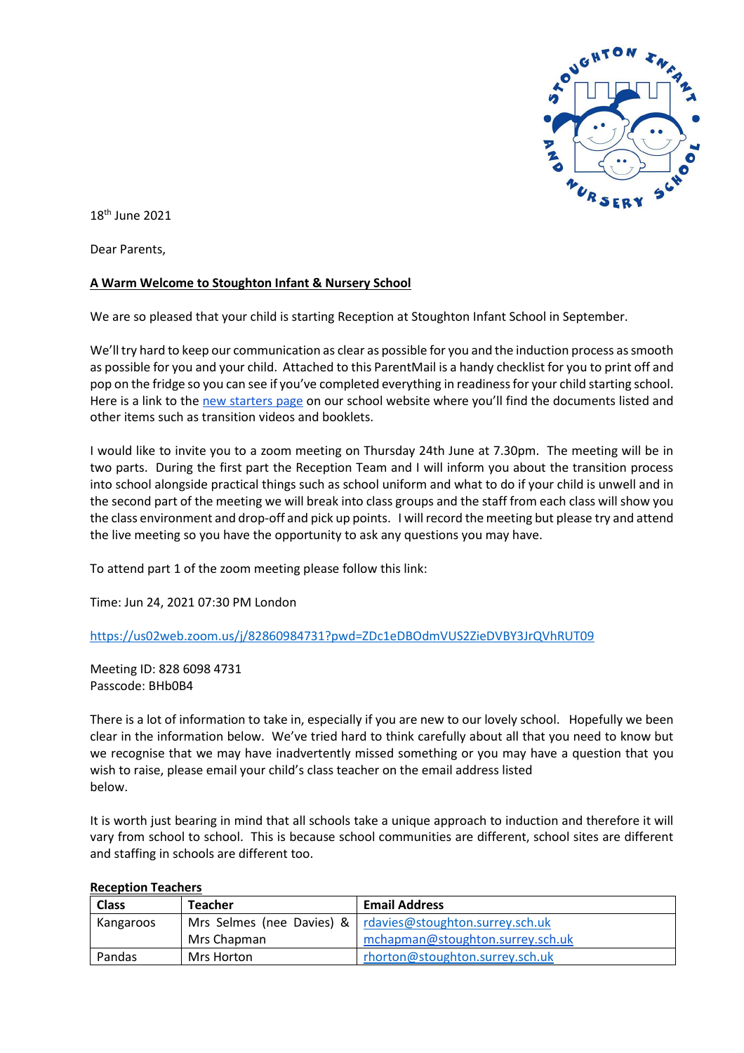

18th June 2021

Dear Parents,

# **A Warm Welcome to Stoughton Infant & Nursery School**

We are so pleased that your child is starting Reception at Stoughton Infant School in September.

We'll try hard to keep our communication as clear as possible for you and the induction process as smooth as possible for you and your child. Attached to this ParentMail is a handy checklist for you to print off and pop on the fridge so you can see if you've completed everything in readiness for your child starting school. Here is a link to the [new starters page](https://www.stoughton.surrey.sch.uk/new-starters-2020-21) on our school website where you'll find the documents listed and other items such as transition videos and booklets.

I would like to invite you to a zoom meeting on Thursday 24th June at 7.30pm. The meeting will be in two parts. During the first part the Reception Team and I will inform you about the transition process into school alongside practical things such as school uniform and what to do if your child is unwell and in the second part of the meeting we will break into class groups and the staff from each class will show you the class environment and drop-off and pick up points. I will record the meeting but please try and attend the live meeting so you have the opportunity to ask any questions you may have.

To attend part 1 of the zoom meeting please follow this link:

Time: Jun 24, 2021 07:30 PM London

<https://us02web.zoom.us/j/82860984731?pwd=ZDc1eDBOdmVUS2ZieDVBY3JrQVhRUT09>

Meeting ID: 828 6098 4731 Passcode: BHb0B4

There is a lot of information to take in, especially if you are new to our lovely school. Hopefully we been clear in the information below. We've tried hard to think carefully about all that you need to know but we recognise that we may have inadvertently missed something or you may have a question that you wish to raise, please email your child's class teacher on the email address listed below.

It is worth just bearing in mind that all schools take a unique approach to induction and therefore it will vary from school to school. This is because school communities are different, school sites are different and staffing in schools are different too.

| <b>INCEPTION TEACHERS</b> |                |                                                               |  |
|---------------------------|----------------|---------------------------------------------------------------|--|
| <b>Class</b>              | <b>Teacher</b> | <b>Email Address</b>                                          |  |
| Kangaroos                 |                | Mrs Selmes (nee Davies) & $ $ rdavies@stoughton.surrey.sch.uk |  |
|                           | Mrs Chapman    | mchapman@stoughton.surrey.sch.uk                              |  |
| Pandas                    | Mrs Horton     | rhorton@stoughton.surrey.sch.uk                               |  |

#### **Reception Teachers**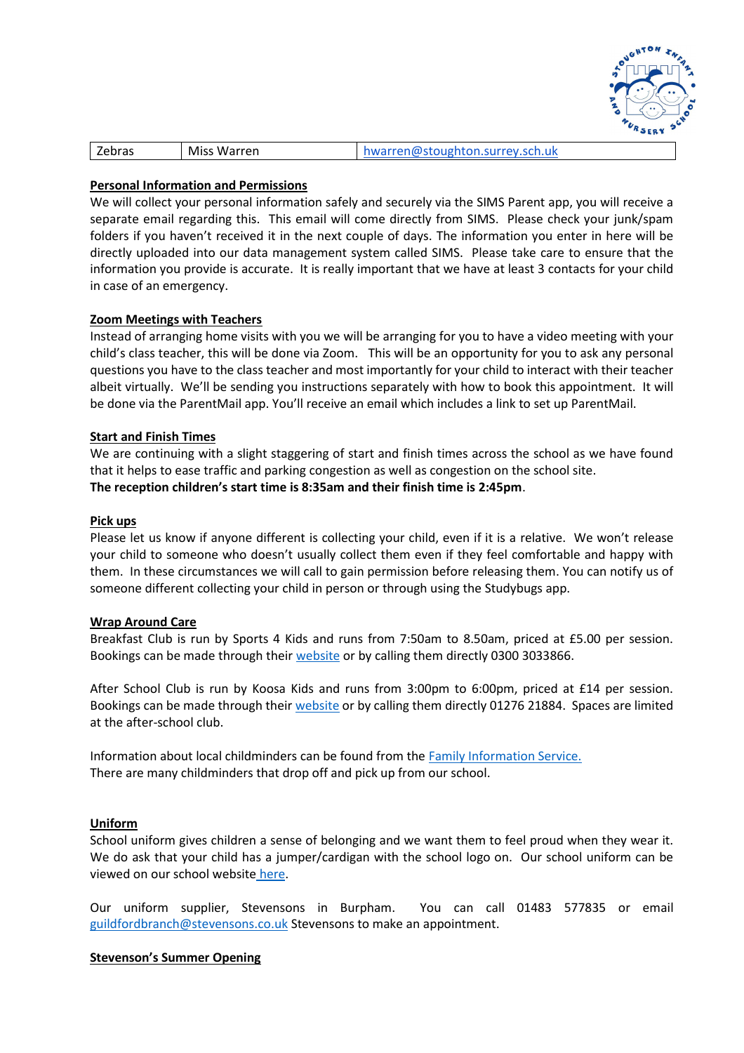

|  | Zebras | Miss Warren | hwarren@stoughton.surrey.sch.uk |
|--|--------|-------------|---------------------------------|
|--|--------|-------------|---------------------------------|

## **Personal Information and Permissions**

We will collect your personal information safely and securely via the SIMS Parent app, you will receive a separate email regarding this. This email will come directly from SIMS. Please check your junk/spam folders if you haven't received it in the next couple of days. The information you enter in here will be directly uploaded into our data management system called SIMS. Please take care to ensure that the information you provide is accurate. It is really important that we have at least 3 contacts for your child in case of an emergency.

## **Zoom Meetings with Teachers**

Instead of arranging home visits with you we will be arranging for you to have a video meeting with your child's class teacher, this will be done via Zoom. This will be an opportunity for you to ask any personal questions you have to the class teacher and most importantly for your child to interact with their teacher albeit virtually. We'll be sending you instructions separately with how to book this appointment. It will be done via the ParentMail app. You'll receive an email which includes a link to set up ParentMail.

## **Start and Finish Times**

We are continuing with a slight staggering of start and finish times across the school as we have found that it helps to ease traffic and parking congestion as well as congestion on the school site. **The reception children's start time is 8:35am and their finish time is 2:45pm**.

#### **Pick ups**

Please let us know if anyone different is collecting your child, even if it is a relative. We won't release your child to someone who doesn't usually collect them even if they feel comfortable and happy with them. In these circumstances we will call to gain permission before releasing them. You can notify us of someone different collecting your child in person or through using the Studybugs app.

#### **Wrap Around Care**

Breakfast Club is run by Sports 4 Kids and runs from 7:50am to 8.50am, priced at £5.00 per session. Bookings can be made through thei[r website](http://sport4kids.biz/) or by calling them directly 0300 3033866.

After School Club is run by Koosa Kids and runs from 3:00pm to 6:00pm, priced at £14 per session. Bookings can be made through their [website](https://www.koosakids.co.uk/after-school-club) or by calling them directly 01276 21884. Spaces are limited at the after-school club.

Information about local childminders can be found from the [Family Information Service.](https://www.surreycc.gov.uk/people-and-community/families)  There are many childminders that drop off and pick up from our school.

#### **Uniform**

School uniform gives children a sense of belonging and we want them to feel proud when they wear it. We do ask that your child has a jumper/cardigan with the school logo on. Our school uniform can be viewed on our school website [here.](https://www.stoughton.surrey.sch.uk/school-uniform)

Our uniform supplier, Stevensons in Burpham. You can call 01483 577835 or email [guildfordbranch@stevensons.co.uk](mailto:guildfordbranch@stevensons.co.uk) Stevensons to make an appointment.

#### **Stevenson's Summer Opening**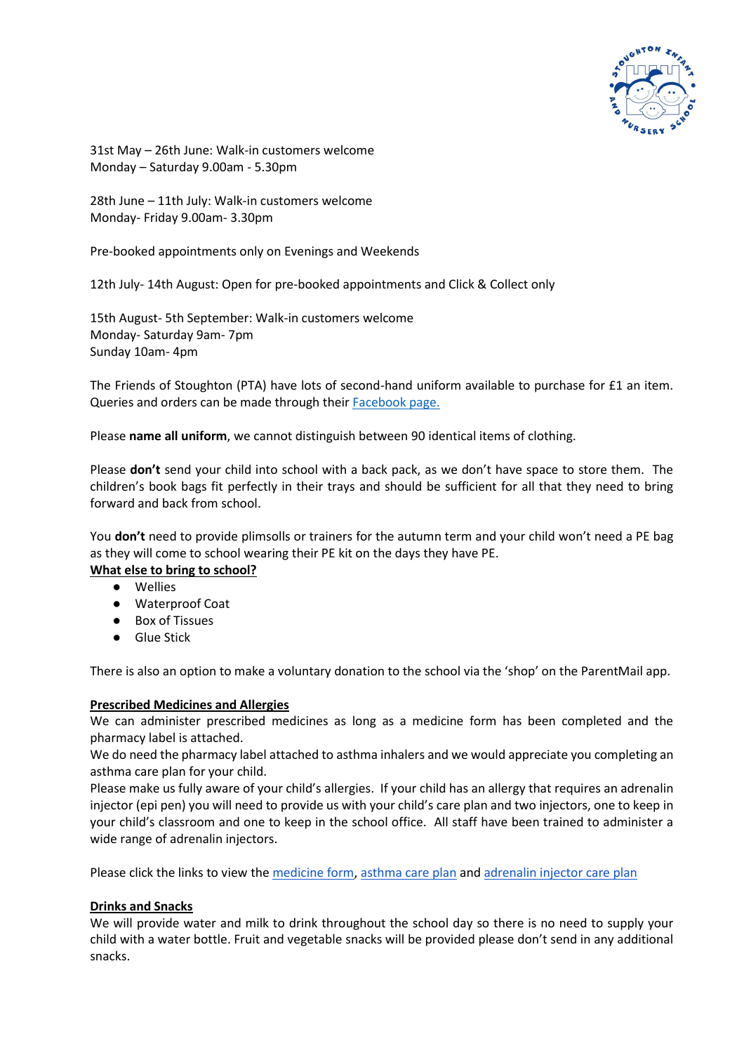

31st May – 26th June: Walk-in customers welcome Monday – Saturday 9.00am - 5.30pm

28th June – 11th July: Walk-in customers welcome Monday- Friday 9.00am- 3.30pm

Pre-booked appointments only on Evenings and Weekends

12th July- 14th August: Open for pre-booked appointments and Click & Collect only

15th August- 5th September: Walk-in customers welcome Monday- Saturday 9am- 7pm Sunday 10am- 4pm

The Friends of Stoughton (PTA) have lots of second-hand uniform available to purchase for £1 an item. Queries and orders can be made through their [Facebook page.](https://www.facebook.com/StoughtonUniform/?__tn__=kC-R&eid=ARCsXZW-RB4qvKx8J59vDPIeuyt600CkKLJavtC-gpf3VgcbZA87nU1bVmr3bTRBKb9Z_3hKfgIk-IMO&hc_ref=ARTOUhPMzyt0VaQ9_Kr6aFV7eH85lrUZS9yiT2XMK6iIcIKxPt-_cZshuKY5YLcydeA&fref=nf&__xts__%5b0%5d=68.ARDYsaFeLZAwvClmAigeAHoJkWNS4j6xECBaCxhKLEgHl5yCkEK-tETw7ezHJyTKGLEHF2-a7O-k8dFbMuakHFoCxWc-6QYw84Vroa49wOrWTJvC0UAGYNi95EwiM6SO4sYDNUDPaTl0wWWr5hv7gKvNv-Vp6gbVBgNmqwt0aKgcO9qpWq6brFIGAcfji4DHvRLCacChGMrJNg92smWU--ghhVi6QCtWkLsDiB2mpWz4cWXK7MnfNkeqV__TAJKmk7G4l1KS_LxPzygb4mg6e7N7ZOgMIqs1__1qIAze-gBcIA2oRjxTItKFeKYcmwbltrIzct_EdTayIo97HA6bD90)

Please **name all uniform**, we cannot distinguish between 90 identical items of clothing.

Please **don't** send your child into school with a back pack, as we don't have space to store them. The children's book bags fit perfectly in their trays and should be sufficient for all that they need to bring forward and back from school.

You **don't** need to provide plimsolls or trainers for the autumn term and your child won't need a PE bag as they will come to school wearing their PE kit on the days they have PE.

#### **What else to bring to school?**

- Wellies
- Waterproof Coat
- **Box of Tissues**
- Glue Stick

There is also an option to make a voluntary donation to the school via the 'shop' on the ParentMail app.

#### **Prescribed Medicines and Allergies**

We can administer prescribed medicines as long as a medicine form has been completed and the pharmacy label is attached.

We do need the pharmacy label attached to asthma inhalers and we would appreciate you completing an asthma care plan for your child.

Please make us fully aware of your child's allergies. If your child has an allergy that requires an adrenalin injector (epi pen) you will need to provide us with your child's care plan and two injectors, one to keep in your child's classroom and one to keep in the school office. All staff have been trained to administer a wide range of adrenalin injectors.

Please click the links to view the [medicine form,](https://d6a1f8b6-5630-4310-9c3b-9044f0d4989a.filesusr.com/ugd/40334e_bfa3c3a706b04218807464bfba891b70.pdf) [asthma care plan](https://d6a1f8b6-5630-4310-9c3b-9044f0d4989a.filesusr.com/ugd/40334e_7bb16d90ca03420fb718c23e62810464.pdf) an[d adrenalin injector care plan](https://d6a1f8b6-5630-4310-9c3b-9044f0d4989a.filesusr.com/ugd/40334e_a1176f2efcd14d2ab5c9c3b63844080e.pdf)

#### **Drinks and Snacks**

We will provide water and milk to drink throughout the school day so there is no need to supply your child with a water bottle. Fruit and vegetable snacks will be provided please don't send in any additional snacks.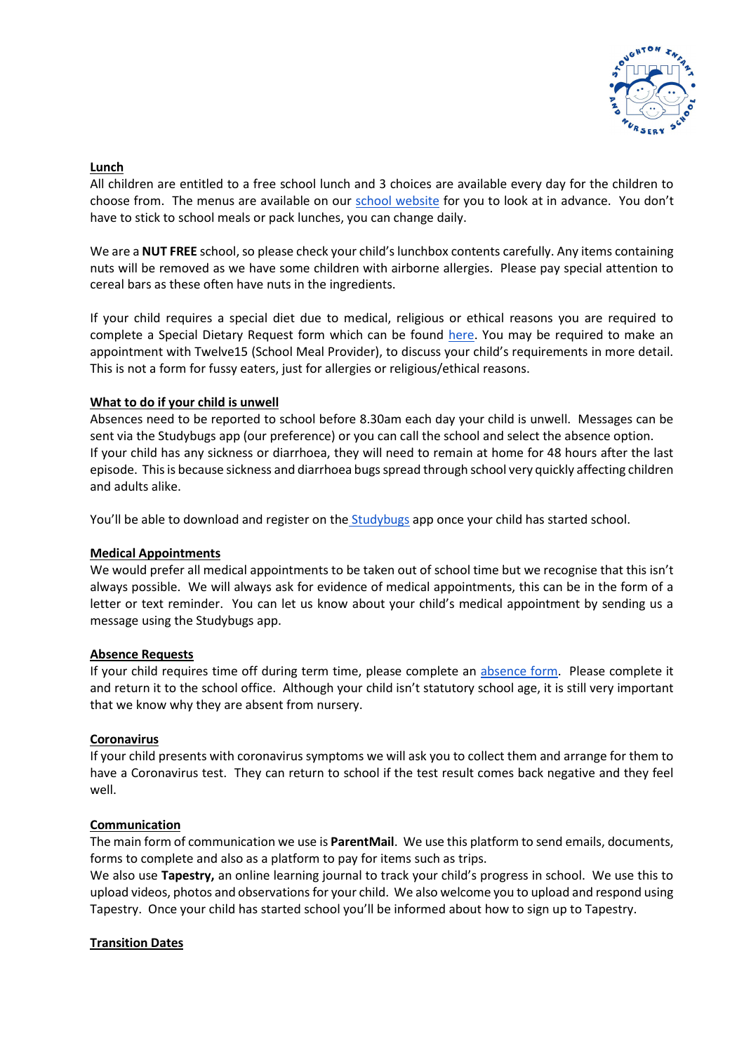

#### **Lunch**

All children are entitled to a free school lunch and 3 choices are available every day for the children to choose from. The menus are available on our [school website](https://www.stoughton.surrey.sch.uk/school-meals) for you to look at in advance. You don't have to stick to school meals or pack lunches, you can change daily.

We are a **NUT FREE** school, so please check your child's lunchbox contents carefully. Any items containing nuts will be removed as we have some children with airborne allergies. Please pay special attention to cereal bars as these often have nuts in the ingredients.

If your child requires a special diet due to medical, religious or ethical reasons you are required to complete a Special Dietary Request form which can be found [here.](https://d6a1f8b6-5630-4310-9c3b-9044f0d4989a.filesusr.com/ugd/40334e_465bf96ce5b649a383478a01e8d4c47f.pdf) You may be required to make an appointment with Twelve15 (School Meal Provider), to discuss your child's requirements in more detail. This is not a form for fussy eaters, just for allergies or religious/ethical reasons.

## **What to do if your child is unwell**

Absences need to be reported to school before 8.30am each day your child is unwell. Messages can be sent via the Studybugs app (our preference) or you can call the school and select the absence option. If your child has any sickness or diarrhoea, they will need to remain at home for 48 hours after the last episode. This is because sickness and diarrhoea bugs spread through school very quickly affecting children and adults alike.

You'll be able to download and register on the [Studybugs](https://studybugs.com/) app once your child has started school.

#### **Medical Appointments**

We would prefer all medical appointments to be taken out of school time but we recognise that this isn't always possible. We will always ask for evidence of medical appointments, this can be in the form of a letter or text reminder. You can let us know about your child's medical appointment by sending us a message using the Studybugs app.

#### **Absence Requests**

If your child requires time off during term time, please complete an [absence form.](https://d6a1f8b6-5630-4310-9c3b-9044f0d4989a.filesusr.com/ugd/40334e_89b91bd9339f4042b4bc922b9bf4c908.pdf) Please complete it and return it to the school office. Although your child isn't statutory school age, it is still very important that we know why they are absent from nursery.

#### **Coronavirus**

If your child presents with coronavirus symptoms we will ask you to collect them and arrange for them to have a Coronavirus test. They can return to school if the test result comes back negative and they feel well.

# **Communication**

The main form of communication we use is **ParentMail**. We use this platform to send emails, documents, forms to complete and also as a platform to pay for items such as trips.

We also use **Tapestry,** an online learning journal to track your child's progress in school. We use this to upload videos, photos and observations for your child. We also welcome you to upload and respond using Tapestry. Once your child has started school you'll be informed about how to sign up to Tapestry.

# **Transition Dates**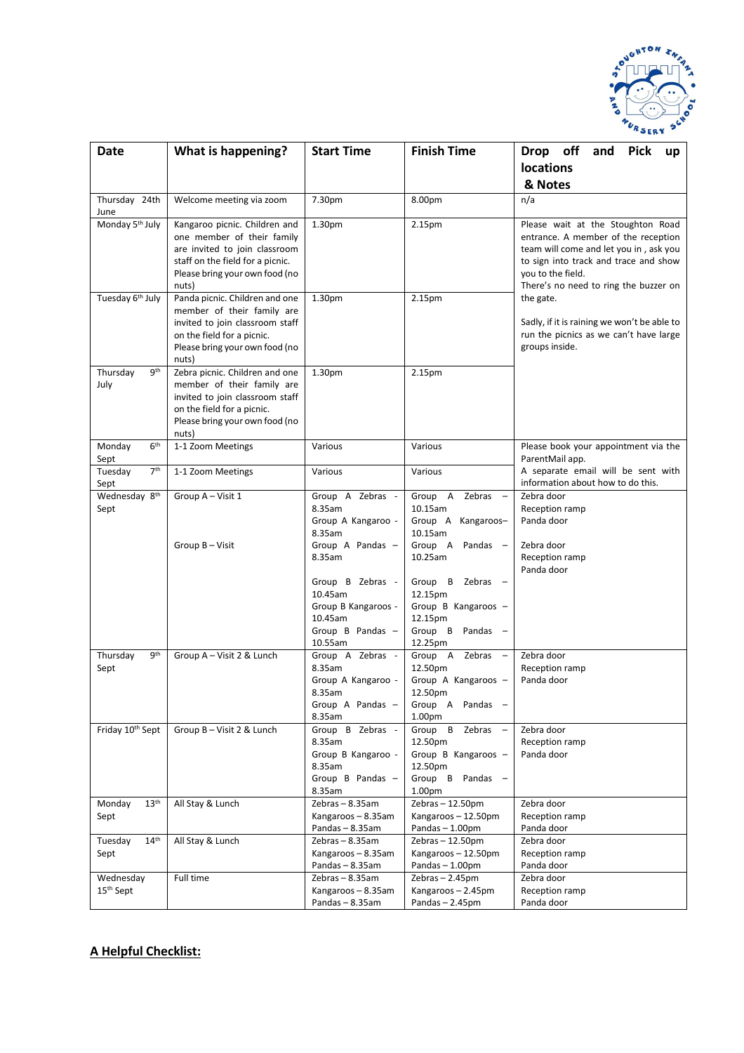

| <b>Date</b>                  | What is happening?                                                | <b>Start Time</b>                   | <b>Finish Time</b>                   | Drop off<br>and<br><b>Pick</b><br>up                       |
|------------------------------|-------------------------------------------------------------------|-------------------------------------|--------------------------------------|------------------------------------------------------------|
|                              |                                                                   |                                     |                                      | <b>locations</b>                                           |
|                              |                                                                   |                                     |                                      | & Notes                                                    |
| Thursday 24th<br>June        | Welcome meeting via zoom                                          | 7.30pm                              | 8.00pm                               | n/a                                                        |
| Monday 5 <sup>th</sup> July  | Kangaroo picnic. Children and                                     | 1.30pm                              | 2.15pm                               | Please wait at the Stoughton Road                          |
|                              | one member of their family                                        |                                     |                                      | entrance. A member of the reception                        |
|                              | are invited to join classroom<br>staff on the field for a picnic. |                                     |                                      | team will come and let you in, ask you                     |
|                              | Please bring your own food (no                                    |                                     |                                      | to sign into track and trace and show<br>you to the field. |
|                              | nuts)                                                             |                                     |                                      | There's no need to ring the buzzer on                      |
| Tuesday 6 <sup>th</sup> July | Panda picnic. Children and one                                    | 1.30pm                              | 2.15pm                               | the gate.                                                  |
|                              | member of their family are                                        |                                     |                                      |                                                            |
|                              | invited to join classroom staff                                   |                                     |                                      | Sadly, if it is raining we won't be able to                |
|                              | on the field for a picnic.                                        |                                     |                                      | run the picnics as we can't have large                     |
|                              | Please bring your own food (no<br>nuts)                           |                                     |                                      | groups inside.                                             |
| 9 <sup>th</sup><br>Thursday  | Zebra picnic. Children and one                                    | 1.30pm                              | 2.15pm                               |                                                            |
| July                         | member of their family are                                        |                                     |                                      |                                                            |
|                              | invited to join classroom staff                                   |                                     |                                      |                                                            |
|                              | on the field for a picnic.                                        |                                     |                                      |                                                            |
|                              | Please bring your own food (no                                    |                                     |                                      |                                                            |
| 6 <sup>th</sup><br>Monday    | nuts)<br>1-1 Zoom Meetings                                        | Various                             | Various                              | Please book your appointment via the                       |
| Sept                         |                                                                   |                                     |                                      | ParentMail app.                                            |
| 7 <sup>th</sup><br>Tuesday   | 1-1 Zoom Meetings                                                 | Various                             | Various                              | A separate email will be sent with                         |
| Sept                         |                                                                   |                                     |                                      | information about how to do this.                          |
| Wednesday 8 <sup>th</sup>    | Group A - Visit 1                                                 | Group A Zebras -                    | Group A<br>Zebras –                  | Zebra door                                                 |
| Sept                         |                                                                   | 8.35am<br>Group A Kangaroo -        | 10.15am<br>Group A<br>Kangaroos-     | Reception ramp<br>Panda door                               |
|                              |                                                                   | 8.35am                              | 10.15am                              |                                                            |
|                              | Group B - Visit                                                   | Group A Pandas -                    | Group A Pandas -                     | Zebra door                                                 |
|                              |                                                                   | 8.35am                              | 10.25am                              | Reception ramp                                             |
|                              |                                                                   |                                     |                                      | Panda door                                                 |
|                              |                                                                   | Group B Zebras -<br>10.45am         | Group B<br>Zebras<br>12.15pm         |                                                            |
|                              |                                                                   | Group B Kangaroos -                 | Group B Kangaroos -                  |                                                            |
|                              |                                                                   | 10.45am                             | 12.15pm                              |                                                            |
|                              |                                                                   | Group B Pandas -                    | Group B Pandas -                     |                                                            |
| 9 <sup>th</sup><br>Thursday  | Group A - Visit 2 & Lunch                                         | 10.55am<br>Group A Zebras -         | 12.25pm<br>Group A<br>Zebras –       | Zebra door                                                 |
| Sept                         |                                                                   | 8.35am                              | 12.50pm                              | Reception ramp                                             |
|                              |                                                                   | Group A Kangaroo -                  | Group A Kangaroos -                  | Panda door                                                 |
|                              |                                                                   | 8.35am                              | 12.50pm                              |                                                            |
|                              |                                                                   | Group A Pandas $-$<br>8.35am        | Group A Pandas<br>1.00 <sub>pm</sub> |                                                            |
| Friday 10th Sept             | Group B - Visit 2 & Lunch                                         | Group B Zebras -                    | Group B<br>Zebras -                  | Zebra door                                                 |
|                              |                                                                   | 8.35am                              | 12.50pm                              | Reception ramp                                             |
|                              |                                                                   | Group B Kangaroo -                  | Group B Kangaroos -                  | Panda door                                                 |
|                              |                                                                   | 8.35am                              | 12.50pm                              |                                                            |
|                              |                                                                   | Group B Pandas -<br>8.35am          | Group B Pandas -<br>1.00pm           |                                                            |
| Monday<br>13 <sup>th</sup>   | All Stay & Lunch                                                  | Zebras-8.35am                       | Zebras-12.50pm                       | Zebra door                                                 |
| Sept                         |                                                                   | Kangaroos - 8.35am                  | Kangaroos-12.50pm                    | Reception ramp                                             |
|                              |                                                                   | Pandas-8.35am                       | Pandas-1.00pm                        | Panda door                                                 |
| 14 <sup>th</sup><br>Tuesday  | All Stay & Lunch                                                  | Zebras-8.35am<br>Kangaroos - 8.35am | Zebras-12.50pm<br>Kangaroos-12.50pm  | Zebra door                                                 |
| Sept                         |                                                                   | Pandas-8.35am                       | Pandas-1.00pm                        | Reception ramp<br>Panda door                               |
| Wednesday                    | Full time                                                         | Zebras-8.35am                       | Zebras-2.45pm                        | Zebra door                                                 |
| 15 <sup>th</sup> Sept        |                                                                   | Kangaroos - 8.35am                  | Kangaroos-2.45pm                     | Reception ramp                                             |
|                              |                                                                   | Pandas-8.35am                       | Pandas-2.45pm                        | Panda door                                                 |

# **A Helpful Checklist:**